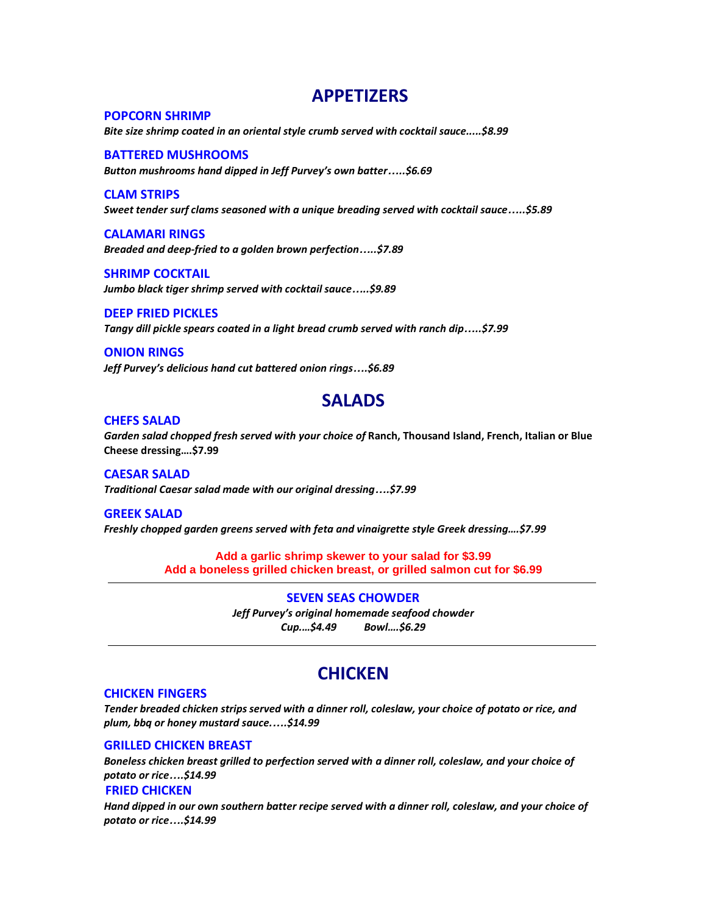## **APPETIZERS**

### **POPCORN SHRIMP**

*Bite size shrimp coated in an oriental style crumb served with cocktail sauce.....\$8.99*

### **BATTERED MUSHROOMS**

*Button mushrooms hand dipped in Jeff Purvey's own batter…..\$6.69*

#### **CLAM STRIPS**

*Sweet tender surf clams seasoned with a unique breading served with cocktail sauce…..\$5.89*

**CALAMARI RINGS** *Breaded and deep-fried to a golden brown perfection…..\$7.89*

**SHRIMP COCKTAIL** *Jumbo black tiger shrimp served with cocktail sauce…..\$9.89*

**DEEP FRIED PICKLES** *Tangy dill pickle spears coated in a light bread crumb served with ranch dip…..\$7.99*

### **ONION RINGS** *Jeff Purvey's delicious hand cut battered onion rings….\$6.89*

## **SALADS**

#### **CHEFS SALAD**

*Garden salad chopped fresh served with your choice of* **Ranch, Thousand Island, French, Italian or Blue Cheese dressing….\$7.99**

**CAESAR SALAD** *Traditional Caesar salad made with our original dressing….\$7.99*

#### **GREEK SALAD**

*Freshly chopped garden greens served with feta and vinaigrette style Greek dressing….\$7.99*

**Add a garlic shrimp skewer to your salad for \$3.99 Add a boneless grilled chicken breast, or grilled salmon cut for \$6.99**

**SEVEN SEAS CHOWDER**

*Jeff Purvey's original homemade seafood chowder Cup.…\$4.49 Bowl….\$6.29*

## **CHICKEN**

### **CHICKEN FINGERS**

*Tender breaded chicken strips served with a dinner roll, coleslaw, your choice of potato or rice, and plum, bbq or honey mustard sauce.….\$14.99*

### **GRILLED CHICKEN BREAST**

*Boneless chicken breast grilled to perfection served with a dinner roll, coleslaw, and your choice of potato or rice….\$14.99* 

#### **FRIED CHICKEN**

*Hand dipped in our own southern batter recipe served with a dinner roll, coleslaw, and your choice of potato or rice….\$14.99*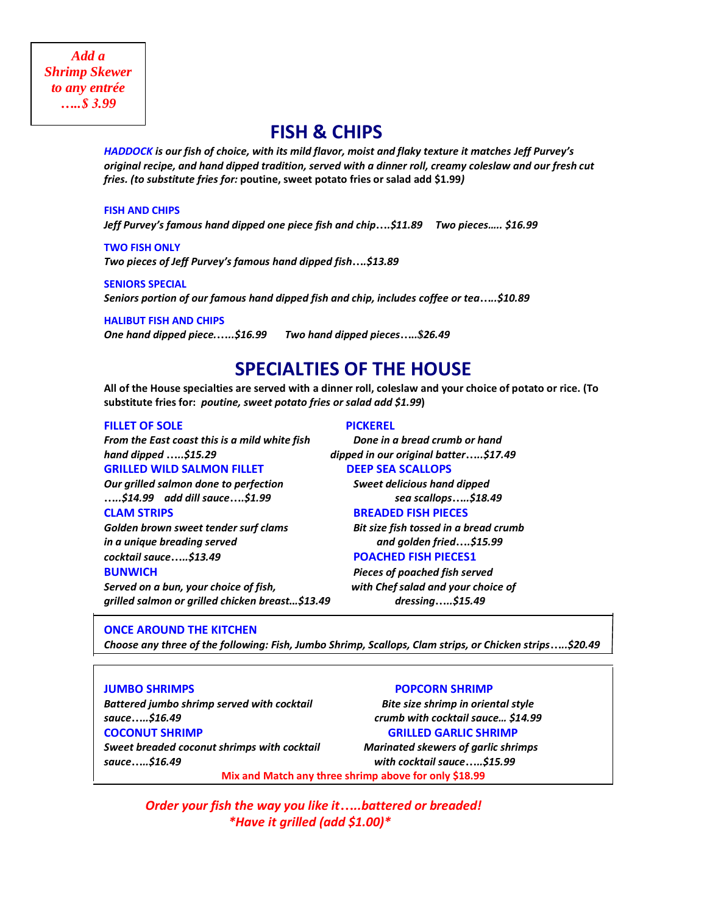# **FISH & CHIPS**

*HADDOCK is our fish of choice, with its mild flavor, moist and flaky texture it matches Jeff Purvey's original recipe, and hand dipped tradition, served with a dinner roll, creamy coleslaw and our fresh cut fries. (to substitute fries for:* **poutine, sweet potato fries or salad add \$1.99***)*

#### **FISH AND CHIPS**

*Jeff Purvey's famous hand dipped one piece fish and chip….\$11.89 Two pieces….. \$16.99*

**TWO FISH ONLY** *Two pieces of Jeff Purvey's famous hand dipped fish….\$13.89*

### **SENIORS SPECIAL** *Seniors portion of our famous hand dipped fish and chip, includes coffee or tea…..\$10.89*

**HALIBUT FISH AND CHIPS**

*One hand dipped piece.…..\$16.99 Two hand dipped pieces…..\$26.49*

# **SPECIALTIES OF THE HOUSE**

**All of the House specialties are served with a dinner roll, coleslaw and your choice of potato or rice. (To substitute fries for:** *poutine, sweet potato fries or salad add \$1.99***)**

#### **FILLET OF SOLE PICKEREL**

*From the East coast this is a mild white fish Done in a bread crumb or hand hand dipped …..\$15.29 dipped in our original batter…..\$17.49* **GRILLED WILD SALMON FILLET DEEP SEA SCALLOPS** 

*…..\$14.99 add dill sauce….\$1.99 sea scallops…..\$18.49*

*Golden brown sweet tender surf clams Bit size fish tossed in a bread crumb in a unique breading served and golden fried….\$15.99 cocktail sauce…..\$13.49* **POACHED FISH PIECES1**

*Served on a bun, your choice of fish, with Chef salad and your choice of grilled salmon or grilled chicken breast...\$13.49 dressing…..\$15.49*

*Our grilled salmon done to perfection Sweet delicious hand dipped* 

### **CLAM STRIPS BREADED FISH PIECES**

**BUNWICH** *Pieces of poached fish served*

#### **ONCE AROUND THE KITCHEN**

*Choose any three of the following: Fish, Jumbo Shrimp, Scallops, Clam strips, or Chicken strips…..\$20.49*

*Battered jumbo shrimp served with cocktail Bite size shrimp in oriental style sauce…..\$16.49 crumb with cocktail sauce… \$14.99*

#### **JUMBO SHRIMPS POPCORN SHRIMP**

**COCONUT SHRIMP GRILLED GARLIC SHRIMP**

*Sweet breaded coconut shrimps with cocktail Marinated skewers of garlic shrimps sauce…..\$16.49 with cocktail sauce…..\$15.99*

**Mix and Match any three shrimp above for only \$18.99**

*Order your fish the way you like it…..battered or breaded! \*Have it grilled (add \$1.00)\**